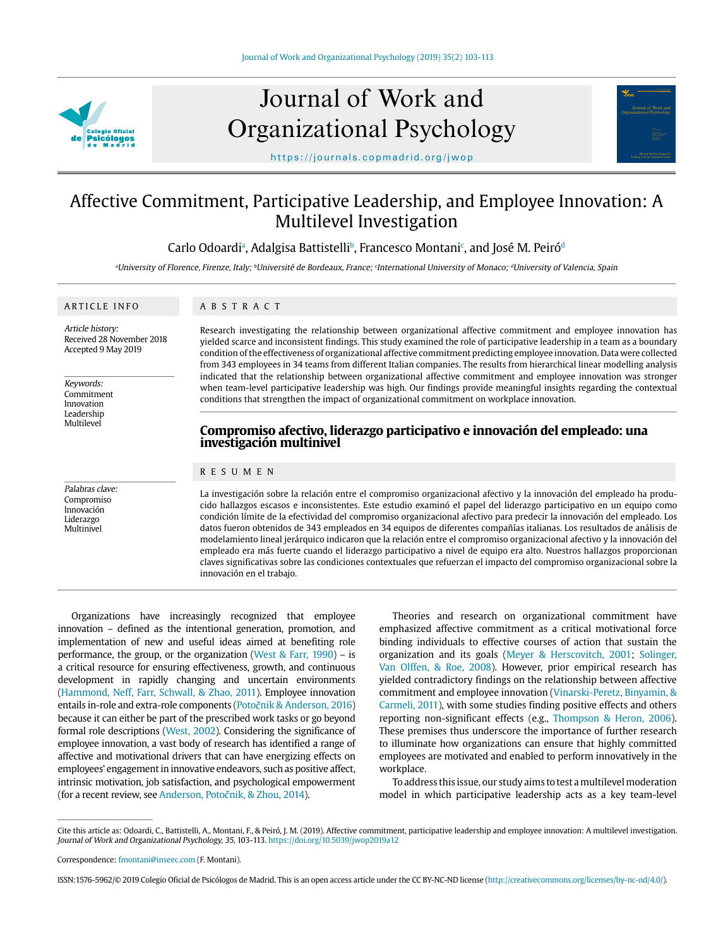

# Journal of Work and Organizational Psychology



https://journals.copmadrid.org/jwop

# Affective Commitment, Participative Leadership, and Employee Innovation: A Multilevel Investigation

Carlo Odoardiª, Adalgisa Battistelli<sup>b</sup>, Francesco Montani<sup>c</sup>, and José M. Peiróª

<sup>a</sup>University of Florence, Firenze, Italy; <sup>b</sup>Université de Bordeaux, France; <sup>c</sup>International University of Monaco; <sup>d</sup>University of Valencia, Spain

# ARTICLE INFO

ABSTRACT

Article history: Received 28 November 2018 Accepted 9 May 2019

Keywords: Commitment Innovation Leadership **Multilevel** 

Palabras clave: Compromiso Innovación Liderazgo Multinivel

Research investigating the relationship between organizational affective commitment and employee innovation has yielded scarce and inconsistent findings. This study examined the role of participative leadership in a team as a boundary condition of the effectiveness of organizational affective commitment predicting employee innovation. Data were collected from 343 employees in 34 teams from different Italian companies. The results from hierarchical linear modelling analysis indicated that the relationship between organizational affective commitment and employee innovation was stronger when team-level participative leadership was high. Our findings provide meaningful insights regarding the contextual conditions that strengthen the impact of organizational commitment on workplace innovation.

# **Compromiso afectivo, liderazgo participativo e innovación del empleado: una investigación multinivel**

# RESUMEN

La investigación sobre la relación entre el compromiso organizacional afectivo y la innovación del empleado ha producido hallazgos escasos e inconsistentes. Este estudio examinó el papel del liderazgo participativo en un equipo como condición límite de la efectividad del compromiso organizacional afectivo para predecir la innovación del empleado. Los datos fueron obtenidos de 343 empleados en 34 equipos de diferentes compañías italianas. Los resultados de análisis de modelamiento lineal jerárquico indicaron que la relación entre el compromiso organizacional afectivo y la innovación del empleado era más fuerte cuando el liderazgo participativo a nivel de equipo era alto. Nuestros hallazgos proporcionan claves significativas sobre las condiciones contextuales que refuerzan el impacto del compromiso organizacional sobre la innovación en el trabajo.

Organizations have increasingly recognized that employee innovation – defined as the intentional generation, promotion, and implementation of new and useful ideas aimed at benefiting role performance, the group, or the organization (West & Farr, 1990) – is a critical resource for ensuring effectiveness, growth, and continuous development in rapidly changing and uncertain environments (Hammond, Neff, Farr, Schwall, & Zhao, 2011). Employee innovation entails in-role and extra-role components (Potočnik & Anderson, 2016) because it can either be part of the prescribed work tasks or go beyond formal role descriptions (West, 2002). Considering the significance of employee innovation, a vast body of research has identified a range of affective and motivational drivers that can have energizing effects on employees' engagement in innovative endeavors, such as positive affect, intrinsic motivation, job satisfaction, and psychological empowerment (for a recent review, see Anderson, Potočnik, & Zhou, 2014).

Theories and research on organizational commitment have emphasized affective commitment as a critical motivational force binding individuals to effective courses of action that sustain the organization and its goals (Meyer & Herscovitch, 2001; Solinger, Van Olffen, & Roe, 2008). However, prior empirical research has yielded contradictory findings on the relationship between affective commitment and employee innovation (Vinarski-Peretz, Binyamin, & Carmeli, 2011), with some studies finding positive effects and others reporting non-significant effects (e.g., Thompson & Heron, 2006). These premises thus underscore the importance of further research to illuminate how organizations can ensure that highly committed employees are motivated and enabled to perform innovatively in the workplace.

To address this issue, our study aims to test a multilevel moderation model in which participative leadership acts as a key team-level

ISSN:1576-5962/© 2019 Colegio Oficial de Psicólogos de Madrid. This is an open access article under the CC BY-NC-ND license (http://creativecommons.org/licenses/by-nc-nd/4.0/).

Cite this article as: Odoardi, C., Battistelli, A., Montani, F., & Peiró, J. M. (2019). Affective commitment, participative leadership and employee innovation: A multilevel investigation. Journal of Work and Organizational Psychology, 35, 103-113. https://doi.org/10.5039/jwop2019a12

Correspondence: fmontani@inseec.com (F. Montani).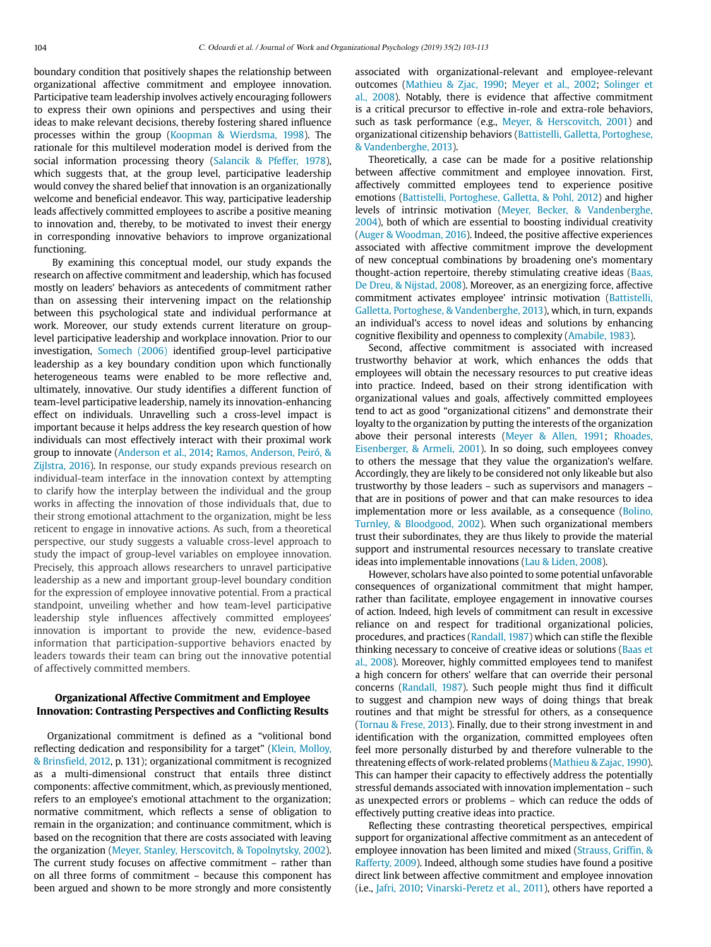boundary condition that positively shapes the relationship between organizational affective commitment and employee innovation. Participative team leadership involves actively encouraging followers to express their own opinions and perspectives and using their ideas to make relevant decisions, thereby fostering shared influence processes within the group (Koopman & Wierdsma, 1998). The rationale for this multilevel moderation model is derived from the social information processing theory (Salancik & Pfeffer, 1978), which suggests that, at the group level, participative leadership would convey the shared belief that innovation is an organizationally welcome and beneficial endeavor. This way, participative leadership leads affectively committed employees to ascribe a positive meaning to innovation and, thereby, to be motivated to invest their energy in corresponding innovative behaviors to improve organizational functioning.

 By examining this conceptual model, our study expands the research on affective commitment and leadership, which has focused mostly on leaders' behaviors as antecedents of commitment rather than on assessing their intervening impact on the relationship between this psychological state and individual performance at work. Moreover, our study extends current literature on grouplevel participative leadership and workplace innovation. Prior to our investigation, Somech (2006) identified group-level participative leadership as a key boundary condition upon which functionally heterogeneous teams were enabled to be more reflective and, ultimately, innovative. Our study identifies a different function of team-level participative leadership, namely its innovation-enhancing effect on individuals. Unravelling such a cross-level impact is important because it helps address the key research question of how individuals can most effectively interact with their proximal work group to innovate (Anderson et al., 2014; Ramos, Anderson, Peiró, & Zijlstra, 2016). In response, our study expands previous research on individual-team interface in the innovation context by attempting to clarify how the interplay between the individual and the group works in affecting the innovation of those individuals that, due to their strong emotional attachment to the organization, might be less reticent to engage in innovative actions. As such, from a theoretical perspective, our study suggests a valuable cross-level approach to study the impact of group-level variables on employee innovation. Precisely, this approach allows researchers to unravel participative leadership as a new and important group-level boundary condition for the expression of employee innovative potential. From a practical standpoint, unveiling whether and how team-level participative leadership style influences affectively committed employees' innovation is important to provide the new, evidence-based information that participation-supportive behaviors enacted by leaders towards their team can bring out the innovative potential of affectively committed members.

# **Organizational Affective Commitment and Employee Innovation: Contrasting Perspectives and Conflicting Results**

Organizational commitment is defined as a "volitional bond reflecting dedication and responsibility for a target" (Klein, Molloy, & Brinsfield, 2012, p. 131); organizational commitment is recognized as a multi-dimensional construct that entails three distinct components: affective commitment, which, as previously mentioned, refers to an employee's emotional attachment to the organization; normative commitment, which reflects a sense of obligation to remain in the organization; and continuance commitment, which is based on the recognition that there are costs associated with leaving the organization (Meyer, Stanley, Herscovitch, & Topolnytsky, 2002). The current study focuses on affective commitment – rather than on all three forms of commitment – because this component has been argued and shown to be more strongly and more consistently associated with organizational-relevant and employee-relevant outcomes (Mathieu & Zjac, 1990; Meyer et al., 2002; Solinger et al., 2008). Notably, there is evidence that affective commitment is a critical precursor to effective in-role and extra-role behaviors, such as task performance (e.g., Meyer, & Herscovitch, 2001) and organizational citizenship behaviors (Battistelli, Galletta, Portoghese, & Vandenberghe, 2013).

Theoretically, a case can be made for a positive relationship between affective commitment and employee innovation. First, affectively committed employees tend to experience positive emotions (Battistelli, Portoghese, Galletta, & Pohl, 2012) and higher levels of intrinsic motivation (Meyer, Becker, & Vandenberghe, 2004), both of which are essential to boosting individual creativity (Auger & Woodman, 2016). Indeed, the positive affective experiences associated with affective commitment improve the development of new conceptual combinations by broadening one's momentary thought-action repertoire, thereby stimulating creative ideas (Baas, De Dreu, & Nijstad, 2008). Moreover, as an energizing force, affective commitment activates employee' intrinsic motivation (Battistelli, Galletta, Portoghese, & Vandenberghe, 2013), which, in turn, expands an individual's access to novel ideas and solutions by enhancing cognitive flexibility and openness to complexity (Amabile, 1983).

Second, affective commitment is associated with increased trustworthy behavior at work, which enhances the odds that employees will obtain the necessary resources to put creative ideas into practice. Indeed, based on their strong identification with organizational values and goals, affectively committed employees tend to act as good "organizational citizens" and demonstrate their loyalty to the organization by putting the interests of the organization above their personal interests (Meyer & Allen, 1991; Rhoades, Eisenberger, & Armeli, 2001). In so doing, such employees convey to others the message that they value the organization's welfare. Accordingly, they are likely to be considered not only likeable but also trustworthy by those leaders – such as supervisors and managers – that are in positions of power and that can make resources to idea implementation more or less available, as a consequence (Bolino, Turnley, & Bloodgood, 2002). When such organizational members trust their subordinates, they are thus likely to provide the material support and instrumental resources necessary to translate creative ideas into implementable innovations (Lau & Liden, 2008).

However, scholars have also pointed to some potential unfavorable consequences of organizational commitment that might hamper, rather than facilitate, employee engagement in innovative courses of action. Indeed, high levels of commitment can result in excessive reliance on and respect for traditional organizational policies, procedures, and practices (Randall, 1987) which can stifle the flexible thinking necessary to conceive of creative ideas or solutions (Baas et al., 2008). Moreover, highly committed employees tend to manifest a high concern for others' welfare that can override their personal concerns (Randall, 1987). Such people might thus find it difficult to suggest and champion new ways of doing things that break routines and that might be stressful for others, as a consequence (Tornau & Frese, 2013). Finally, due to their strong investment in and identification with the organization, committed employees often feel more personally disturbed by and therefore vulnerable to the threatening effects of work-related problems (Mathieu & Zajac, 1990). This can hamper their capacity to effectively address the potentially stressful demands associated with innovation implementation – such as unexpected errors or problems – which can reduce the odds of effectively putting creative ideas into practice.

Reflecting these contrasting theoretical perspectives, empirical support for organizational affective commitment as an antecedent of employee innovation has been limited and mixed (Strauss, Griffin, & Rafferty, 2009). Indeed, although some studies have found a positive direct link between affective commitment and employee innovation (i.e., Jafri, 2010; Vinarski-Peretz et al., 2011), others have reported a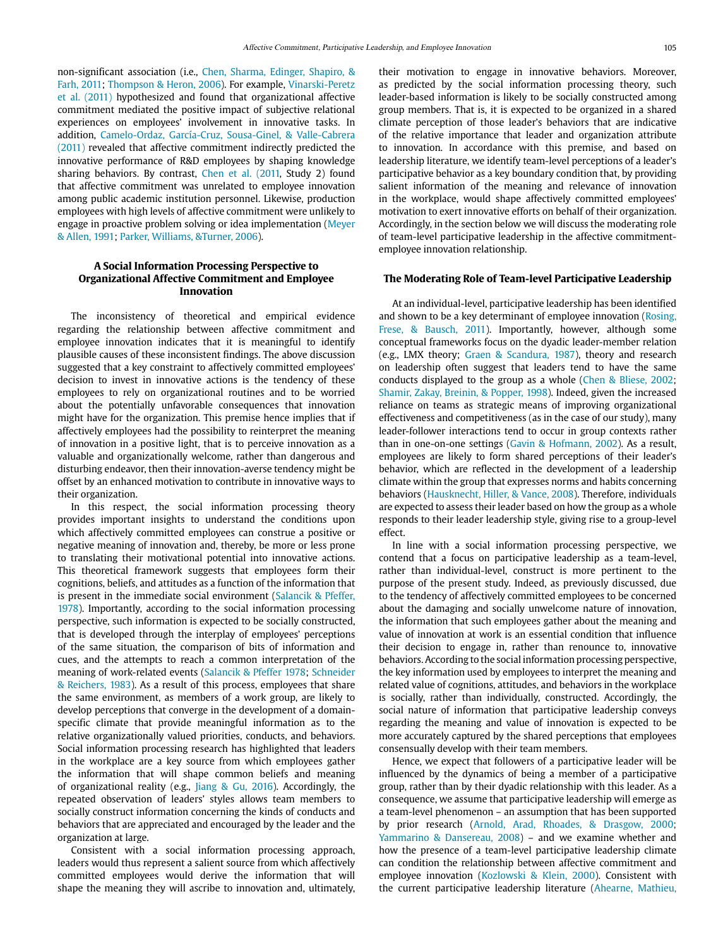non-significant association (i.e., Chen, Sharma, Edinger, Shapiro, & Farh, 2011; Thompson & Heron, 2006). For example, Vinarski-Peretz et al. (2011) hypothesized and found that organizational affective commitment mediated the positive impact of subjective relational experiences on employees' involvement in innovative tasks. In addition, Camelo-Ordaz, García-Cruz, Sousa-Ginel, & Valle-Cabrera (2011) revealed that affective commitment indirectly predicted the innovative performance of R&D employees by shaping knowledge sharing behaviors. By contrast, Chen et al. (2011, Study 2) found that affective commitment was unrelated to employee innovation among public academic institution personnel. Likewise, production employees with high levels of affective commitment were unlikely to engage in proactive problem solving or idea implementation (Meyer & Allen, 1991; Parker, Williams, &Turner, 2006).

## **A Social Information Processing Perspective to Organizational Affective Commitment and Employee Innovation**

The inconsistency of theoretical and empirical evidence regarding the relationship between affective commitment and employee innovation indicates that it is meaningful to identify plausible causes of these inconsistent findings. The above discussion suggested that a key constraint to affectively committed employees' decision to invest in innovative actions is the tendency of these employees to rely on organizational routines and to be worried about the potentially unfavorable consequences that innovation might have for the organization. This premise hence implies that if affectively employees had the possibility to reinterpret the meaning of innovation in a positive light, that is to perceive innovation as a valuable and organizationally welcome, rather than dangerous and disturbing endeavor, then their innovation-averse tendency might be offset by an enhanced motivation to contribute in innovative ways to their organization.

In this respect, the social information processing theory provides important insights to understand the conditions upon which affectively committed employees can construe a positive or negative meaning of innovation and, thereby, be more or less prone to translating their motivational potential into innovative actions. This theoretical framework suggests that employees form their cognitions, beliefs, and attitudes as a function of the information that is present in the immediate social environment (Salancik & Pfeffer, 1978). Importantly, according to the social information processing perspective, such information is expected to be socially constructed, that is developed through the interplay of employees' perceptions of the same situation, the comparison of bits of information and cues, and the attempts to reach a common interpretation of the meaning of work-related events (Salancik & Pfeffer 1978; Schneider & Reichers, 1983). As a result of this process, employees that share the same environment, as members of a work group, are likely to develop perceptions that converge in the development of a domainspecific climate that provide meaningful information as to the relative organizationally valued priorities, conducts, and behaviors. Social information processing research has highlighted that leaders in the workplace are a key source from which employees gather the information that will shape common beliefs and meaning of organizational reality (e.g., Jiang & Gu, 2016). Accordingly, the repeated observation of leaders' styles allows team members to socially construct information concerning the kinds of conducts and behaviors that are appreciated and encouraged by the leader and the organization at large.

Consistent with a social information processing approach, leaders would thus represent a salient source from which affectively committed employees would derive the information that will shape the meaning they will ascribe to innovation and, ultimately, their motivation to engage in innovative behaviors. Moreover, as predicted by the social information processing theory, such leader-based information is likely to be socially constructed among group members. That is, it is expected to be organized in a shared climate perception of those leader's behaviors that are indicative of the relative importance that leader and organization attribute to innovation. In accordance with this premise, and based on leadership literature, we identify team-level perceptions of a leader's participative behavior as a key boundary condition that, by providing salient information of the meaning and relevance of innovation in the workplace, would shape affectively committed employees' motivation to exert innovative efforts on behalf of their organization. Accordingly, in the section below we will discuss the moderating role of team-level participative leadership in the affective commitmentemployee innovation relationship.

#### **The Moderating Role of Team-level Participative Leadership**

At an individual-level, participative leadership has been identified and shown to be a key determinant of employee innovation (Rosing, Frese, & Bausch, 2011). Importantly, however, although some conceptual frameworks focus on the dyadic leader-member relation (e.g., LMX theory; Graen & Scandura, 1987), theory and research on leadership often suggest that leaders tend to have the same conducts displayed to the group as a whole (Chen & Bliese, 2002; Shamir, Zakay, Breinin, & Popper, 1998). Indeed, given the increased reliance on teams as strategic means of improving organizational effectiveness and competitiveness (as in the case of our study), many leader-follower interactions tend to occur in group contexts rather than in one-on-one settings (Gavin & Hofmann, 2002). As a result, employees are likely to form shared perceptions of their leader's behavior, which are reflected in the development of a leadership climate within the group that expresses norms and habits concerning behaviors (Hausknecht, Hiller, & Vance, 2008). Therefore, individuals are expected to assess their leader based on how the group as a whole responds to their leader leadership style, giving rise to a group-level effect.

In line with a social information processing perspective, we contend that a focus on participative leadership as a team-level, rather than individual-level, construct is more pertinent to the purpose of the present study. Indeed, as previously discussed, due to the tendency of affectively committed employees to be concerned about the damaging and socially unwelcome nature of innovation, the information that such employees gather about the meaning and value of innovation at work is an essential condition that influence their decision to engage in, rather than renounce to, innovative behaviors. According to the social information processing perspective, the key information used by employees to interpret the meaning and related value of cognitions, attitudes, and behaviors in the workplace is socially, rather than individually, constructed. Accordingly, the social nature of information that participative leadership conveys regarding the meaning and value of innovation is expected to be more accurately captured by the shared perceptions that employees consensually develop with their team members.

Hence, we expect that followers of a participative leader will be influenced by the dynamics of being a member of a participative group, rather than by their dyadic relationship with this leader. As a consequence, we assume that participative leadership will emerge as a team-level phenomenon – an assumption that has been supported by prior research (Arnold, Arad, Rhoades, & Drasgow, 2000; Yammarino & Dansereau, 2008) – and we examine whether and how the presence of a team-level participative leadership climate can condition the relationship between affective commitment and employee innovation (Kozlowski & Klein, 2000). Consistent with the current participative leadership literature (Ahearne, Mathieu,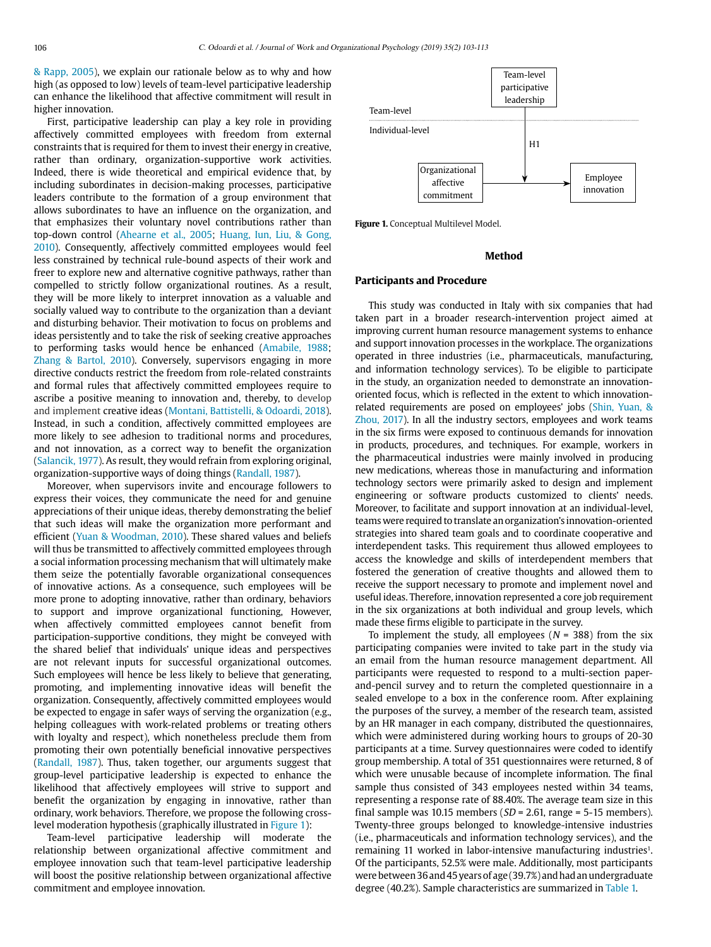& Rapp, 2005), we explain our rationale below as to why and how high (as opposed to low) levels of team-level participative leadership can enhance the likelihood that affective commitment will result in higher innovation.

First, participative leadership can play a key role in providing affectively committed employees with freedom from external constraints that is required for them to invest their energy in creative, rather than ordinary, organization-supportive work activities. Indeed, there is wide theoretical and empirical evidence that, by including subordinates in decision-making processes, participative leaders contribute to the formation of a group environment that allows subordinates to have an influence on the organization, and that emphasizes their voluntary novel contributions rather than top-down control (Ahearne et al., 2005; Huang, Iun, Liu, & Gong, 2010). Consequently, affectively committed employees would feel less constrained by technical rule-bound aspects of their work and freer to explore new and alternative cognitive pathways, rather than compelled to strictly follow organizational routines. As a result, they will be more likely to interpret innovation as a valuable and socially valued way to contribute to the organization than a deviant and disturbing behavior. Their motivation to focus on problems and ideas persistently and to take the risk of seeking creative approaches to performing tasks would hence be enhanced (Amabile, 1988; Zhang & Bartol, 2010). Conversely, supervisors engaging in more directive conducts restrict the freedom from role-related constraints and formal rules that affectively committed employees require to ascribe a positive meaning to innovation and, thereby, to develop and implement creative ideas (Montani, Battistelli, & Odoardi, 2018). Instead, in such a condition, affectively committed employees are more likely to see adhesion to traditional norms and procedures, and not innovation, as a correct way to benefit the organization (Salancik, 1977). As result, they would refrain from exploring original, organization-supportive ways of doing things (Randall, 1987).

Moreover, when supervisors invite and encourage followers to express their voices, they communicate the need for and genuine appreciations of their unique ideas, thereby demonstrating the belief that such ideas will make the organization more performant and efficient (Yuan & Woodman, 2010). These shared values and beliefs will thus be transmitted to affectively committed employees through a social information processing mechanism that will ultimately make them seize the potentially favorable organizational consequences of innovative actions. As a consequence, such employees will be more prone to adopting innovative, rather than ordinary, behaviors to support and improve organizational functioning, However, when affectively committed employees cannot benefit from participation-supportive conditions, they might be conveyed with the shared belief that individuals' unique ideas and perspectives are not relevant inputs for successful organizational outcomes. Such employees will hence be less likely to believe that generating, promoting, and implementing innovative ideas will benefit the organization. Consequently, affectively committed employees would be expected to engage in safer ways of serving the organization (e.g., helping colleagues with work-related problems or treating others with loyalty and respect), which nonetheless preclude them from promoting their own potentially beneficial innovative perspectives (Randall, 1987). Thus, taken together, our arguments suggest that group-level participative leadership is expected to enhance the likelihood that affectively employees will strive to support and benefit the organization by engaging in innovative, rather than ordinary, work behaviors. Therefore, we propose the following crosslevel moderation hypothesis (graphically illustrated in Figure 1):

Team-level participative leadership will moderate the relationship between organizational affective commitment and employee innovation such that team-level participative leadership will boost the positive relationship between organizational affective commitment and employee innovation.



**Figure 1.** Conceptual Multilevel Model.

### **Method**

# **Participants and Procedure**

This study was conducted in Italy with six companies that had taken part in a broader research-intervention project aimed at improving current human resource management systems to enhance and support innovation processes in the workplace. The organizations operated in three industries (i.e., pharmaceuticals, manufacturing, and information technology services). To be eligible to participate in the study, an organization needed to demonstrate an innovationoriented focus, which is reflected in the extent to which innovationrelated requirements are posed on employees' jobs (Shin, Yuan, & Zhou, 2017). In all the industry sectors, employees and work teams in the six firms were exposed to continuous demands for innovation in products, procedures, and techniques. For example, workers in the pharmaceutical industries were mainly involved in producing new medications, whereas those in manufacturing and information technology sectors were primarily asked to design and implement engineering or software products customized to clients' needs. Moreover, to facilitate and support innovation at an individual-level, teams were required to translate an organization's innovation-oriented strategies into shared team goals and to coordinate cooperative and interdependent tasks. This requirement thus allowed employees to access the knowledge and skills of interdependent members that fostered the generation of creative thoughts and allowed them to receive the support necessary to promote and implement novel and useful ideas. Therefore, innovation represented a core job requirement in the six organizations at both individual and group levels, which made these firms eligible to participate in the survey.

To implement the study, all employees ( $N = 388$ ) from the six participating companies were invited to take part in the study via an email from the human resource management department. All participants were requested to respond to a multi-section paperand-pencil survey and to return the completed questionnaire in a sealed envelope to a box in the conference room. After explaining the purposes of the survey, a member of the research team, assisted by an HR manager in each company, distributed the questionnaires, which were administered during working hours to groups of 20-30 participants at a time. Survey questionnaires were coded to identify group membership. A total of 351 questionnaires were returned, 8 of which were unusable because of incomplete information. The final sample thus consisted of 343 employees nested within 34 teams, representing a response rate of 88.40%. The average team size in this final sample was 10.15 members ( $SD = 2.61$ , range = 5-15 members). Twenty-three groups belonged to knowledge-intensive industries (i.e., pharmaceuticals and information technology services), and the remaining 11 worked in labor-intensive manufacturing industries<sup>1</sup>. Of the participants, 52.5% were male. Additionally, most participants were between 36 and 45 years of age (39.7%) and had an undergraduate degree (40.2%). Sample characteristics are summarized in Table 1.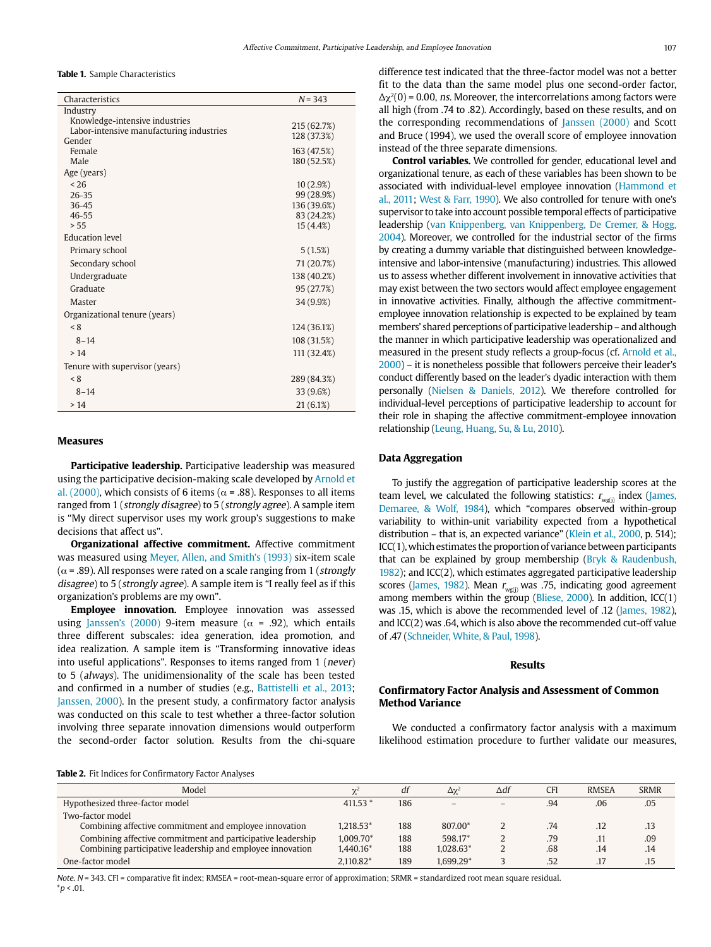**Table 1.** Sample Characteristics

| Characteristics                          | $N = 343$                 |
|------------------------------------------|---------------------------|
| Industry                                 |                           |
| Knowledge-intensive industries           | 215 (62.7%)               |
| Labor-intensive manufacturing industries | 128 (37.3%)               |
| Gender                                   |                           |
| Female<br>Male                           | 163 (47.5%)               |
|                                          | 180 (52.5%)               |
| Age (years)                              |                           |
| < 26<br>$26 - 35$                        | 10(2.9%)                  |
| $36 - 45$                                | 99 (28.9%)<br>136 (39.6%) |
| $46 - 55$                                | 83 (24.2%)                |
| > 55                                     | 15(4.4%)                  |
| <b>Education level</b>                   |                           |
| Primary school                           | 5(1.5%)                   |
| Secondary school                         | 71 (20.7%)                |
| Undergraduate                            | 138 (40.2%)               |
| Graduate                                 | 95 (27.7%)                |
| Master                                   | 34 (9.9%)                 |
| Organizational tenure (years)            |                           |
| < 8                                      | 124 (36.1%)               |
| $8 - 14$                                 | 108 (31.5%)               |
| >14                                      | 111 (32.4%)               |
| Tenure with supervisor (years)           |                           |
| < 8                                      | 289 (84.3%)               |
| $8 - 14$                                 | 33 (9.6%)                 |
| >14                                      | 21(6.1%)                  |

### **Measures**

**Participative leadership.** Participative leadership was measured using the participative decision-making scale developed by Arnold et al. (2000), which consists of 6 items ( $\alpha$  = .88). Responses to all items ranged from 1 (strongly disagree) to 5 (strongly agree). A sample item is "My direct supervisor uses my work group's suggestions to make decisions that affect us".

**Organizational affective commitment.** Affective commitment was measured using Meyer, Allen, and Smith's (1993) six-item scale ( $\alpha$  = .89). All responses were rated on a scale ranging from 1 (strongly disagree) to 5 (strongly agree). A sample item is "I really feel as if this organization's problems are my own".

**Employee innovation.** Employee innovation was assessed using Janssen's (2000) 9-item measure ( $\alpha$  = .92), which entails three different subscales: idea generation, idea promotion, and idea realization. A sample item is "Transforming innovative ideas into useful applications". Responses to items ranged from 1 (never) to 5 (always). The unidimensionality of the scale has been tested and confirmed in a number of studies (e.g., Battistelli et al., 2013; Janssen, 2000). In the present study, a confirmatory factor analysis was conducted on this scale to test whether a three-factor solution involving three separate innovation dimensions would outperform the second-order factor solution. Results from the chi-square difference test indicated that the three-factor model was not a better fit to the data than the same model plus one second-order factor,  $\Delta \chi^2(0)$  = 0.00, ns. Moreover, the intercorrelations among factors were all high (from .74 to .82). Accordingly, based on these results, and on the corresponding recommendations of Janssen (2000) and Scott and Bruce (1994), we used the overall score of employee innovation instead of the three separate dimensions.

**Control variables.** We controlled for gender, educational level and organizational tenure, as each of these variables has been shown to be associated with individual-level employee innovation (Hammond et al., 2011; West & Farr, 1990). We also controlled for tenure with one's supervisor to take into account possible temporal effects of participative leadership (van Knippenberg, van Knippenberg, De Cremer, & Hogg, 2004). Moreover, we controlled for the industrial sector of the firms by creating a dummy variable that distinguished between knowledgeintensive and labor-intensive (manufacturing) industries. This allowed us to assess whether different involvement in innovative activities that may exist between the two sectors would affect employee engagement in innovative activities. Finally, although the affective commitmentemployee innovation relationship is expected to be explained by team members' shared perceptions of participative leadership – and although the manner in which participative leadership was operationalized and measured in the present study reflects a group-focus (cf. Arnold et al., 2000) – it is nonetheless possible that followers perceive their leader's conduct differently based on the leader's dyadic interaction with them personally (Nielsen & Daniels, 2012). We therefore controlled for individual-level perceptions of participative leadership to account for their role in shaping the affective commitment-employee innovation relationship (Leung, Huang, Su, & Lu, 2010).

### **Data Aggregation**

To justify the aggregation of participative leadership scores at the team level, we calculated the following statistics:  $r_{\text{wg(j)}}$  index (James, Demaree, & Wolf, 1984), which "compares observed within-group variability to within-unit variability expected from a hypothetical distribution – that is, an expected variance" (Klein et al., 2000, p. 514); ICC(1), which estimates the proportion of variance between participants that can be explained by group membership (Bryk & Raudenbush, 1982); and ICC(2), which estimates aggregated participative leadership scores (James, 1982). Mean  $r_{\text{wg}(j)}$  was .75, indicating good agreement among members within the group (Bliese, 2000). In addition, ICC(1) was .15, which is above the recommended level of .12 (James, 1982), and ICC(2) was .64, which is also above the recommended cut-off value of .47 (Schneider, White, & Paul, 1998).

# **Results**

# **Confirmatory Factor Analysis and Assessment of Common Method Variance**

We conducted a confirmatory factor analysis with a maximum likelihood estimation procedure to further validate our measures,

**Table 2.** Fit Indices for Confirmatory Factor Analyses

| Model                                                       |            | df  | $\Delta\chi^2$ | ∆df                      | CFI | <b>RMSEA</b> | <b>SRMR</b> |
|-------------------------------------------------------------|------------|-----|----------------|--------------------------|-----|--------------|-------------|
| Hypothesized three-factor model                             | 411.53 $*$ | 186 |                | $\overline{\phantom{a}}$ | .94 | .06          | .05         |
| Two-factor model                                            |            |     |                |                          |     |              |             |
| Combining affective commitment and employee innovation      | 1.218.53*  | 188 | 807.00*        |                          | .74 | .12          | .13         |
| Combining affective commitment and participative leadership | 1.009.70*  | 188 | 598.17*        |                          | .79 | .11          | .09         |
| Combining participative leadership and employee innovation  | 1.440.16*  | 188 | 1.028.63*      | ∼                        | .68 | .14          | .14         |
| One-factor model                                            | 2.110.82*  | 189 | 1.699.29*      |                          | .52 | .17          | .15         |

Note. N = 343. CFI = comparative fit index: RMSEA = root-mean-square error of approximation: SRMR = standardized root mean square residual.  $*p < .01$ .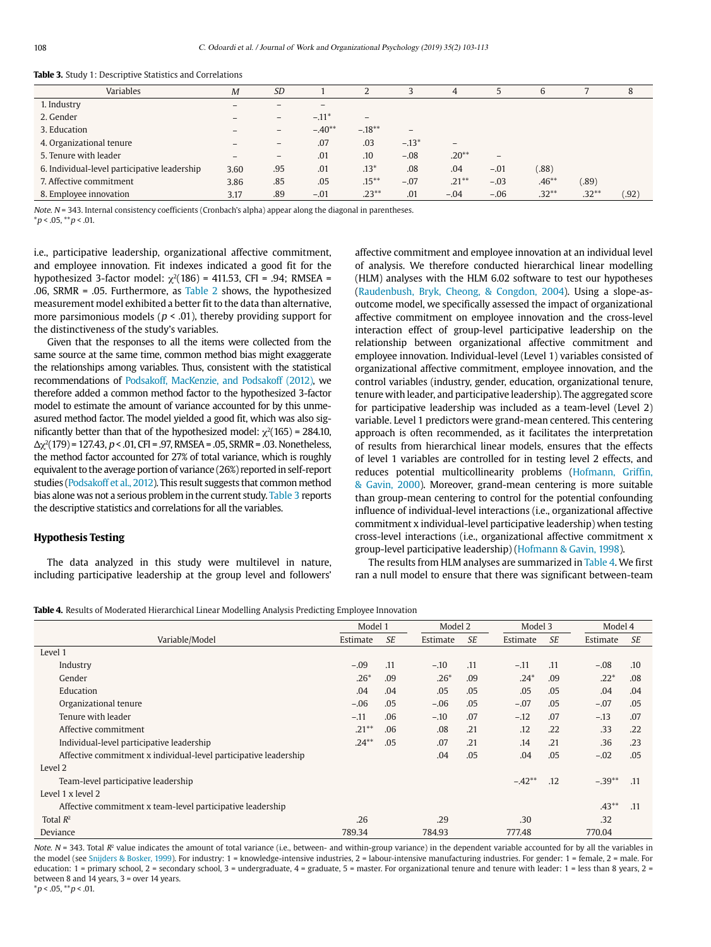| Variables                                    | $\boldsymbol{M}$ | <b>SD</b>                    |                          |                   |                   | 4                            |                 | 6       |         | 8      |
|----------------------------------------------|------------------|------------------------------|--------------------------|-------------------|-------------------|------------------------------|-----------------|---------|---------|--------|
| 1. Industry                                  |                  | $\overline{\phantom{a}}$     | $\overline{\phantom{a}}$ |                   |                   |                              |                 |         |         |        |
| 2. Gender                                    |                  | $\qquad \qquad \blacksquare$ | $-.11*$                  | $\qquad \qquad -$ |                   |                              |                 |         |         |        |
| 3. Education                                 |                  | $-$                          | $-.40**$                 | $-.18***$         | $\qquad \qquad -$ |                              |                 |         |         |        |
| 4. Organizational tenure                     |                  | $\qquad \qquad -$            | .07                      | .03               | $-.13*$           | $\qquad \qquad \blacksquare$ |                 |         |         |        |
| 5. Tenure with leader                        |                  | $\qquad \qquad -$            | .01                      | .10               | $-.08$            | $.20**$                      | $\qquad \qquad$ |         |         |        |
| 6. Individual-level participative leadership | 3.60             | .95                          | .01                      | $.13*$            | .08               | .04                          | $-.01$          | (.88)   |         |        |
| 7. Affective commitment                      | 3.86             | .85                          | .05                      | $.15***$          | $-.07$            | $.21***$                     | $-.03$          | $.46**$ | (.89)   |        |
| 8. Employee innovation                       | 3.17             | .89                          | $-.01$                   | $.23**$           | .01               | $-.04$                       | $-.06$          | $.32**$ | $.32**$ | (0.92) |

**Table 3.** Study 1: Descriptive Statistics and Correlations

Note. N = 343. Internal consistency coefficients (Cronbach's alpha) appear along the diagonal in parentheses.

 $*_{p}$  < .05,  $*_{p}$  < .01.

i.e., participative leadership, organizational affective commitment, and employee innovation. Fit indexes indicated a good fit for the hypothesized 3-factor model:  $\gamma^2$ (186) = 411.53, CFI = .94; RMSEA = .06, SRMR =  $.05$ . Furthermore, as Table 2 shows, the hypothesized measurement model exhibited a better fit to the data than alternative, more parsimonious models ( $p < .01$ ), thereby providing support for the distinctiveness of the study's variables.

Given that the responses to all the items were collected from the same source at the same time, common method bias might exaggerate the relationships among variables. Thus, consistent with the statistical recommendations of Podsakoff, MacKenzie, and Podsakoff (2012), we therefore added a common method factor to the hypothesized 3-factor model to estimate the amount of variance accounted for by this unmeasured method factor. The model yielded a good fit, which was also significantly better than that of the hypothesized model:  $\chi^2(165)$  = 284.10,  $Δχ²(179) = 127.43, p < .01, CFI = .97, RMSEA = .05, SRMR = .03. Nonetheless,$ the method factor accounted for 27% of total variance, which is roughly equivalent to the average portion of variance (26%) reported in self-report studies (Podsakoff et al., 2012). This result suggests that common method bias alone was not a serious problem in the current study. Table 3 reports the descriptive statistics and correlations for all the variables.

# **Hypothesis Testing**

The data analyzed in this study were multilevel in nature, including participative leadership at the group level and followers'

affective commitment and employee innovation at an individual level of analysis. We therefore conducted hierarchical linear modelling (HLM) analyses with the HLM 6.02 software to test our hypotheses (Raudenbush, Bryk, Cheong, & Congdon, 2004). Using a slope-asoutcome model, we specifically assessed the impact of organizational affective commitment on employee innovation and the cross-level interaction effect of group-level participative leadership on the relationship between organizational affective commitment and employee innovation. Individual-level (Level 1) variables consisted of organizational affective commitment, employee innovation, and the control variables (industry, gender, education, organizational tenure, tenure with leader, and participative leadership). The aggregated score for participative leadership was included as a team-level (Level 2) variable. Level 1 predictors were grand-mean centered. This centering approach is often recommended, as it facilitates the interpretation of results from hierarchical linear models, ensures that the effects of level 1 variables are controlled for in testing level 2 effects, and reduces potential multicollinearity problems (Hofmann, Griffin, & Gavin, 2000). Moreover, grand-mean centering is more suitable than group-mean centering to control for the potential confounding influence of individual-level interactions (i.e., organizational affective commitment x individual-level participative leadership) when testing cross-level interactions (i.e., organizational affective commitment x group-level participative leadership) (Hofmann & Gavin, 1998).

The results from HLM analyses are summarized in Table 4. We first ran a null model to ensure that there was significant between-team

**Table 4.** Results of Moderated Hierarchical Linear Modelling Analysis Predicting Employee Innovation

|                                                                  | Model 1  |           | Model 2  |           | Model 3  |           | Model 4  |           |
|------------------------------------------------------------------|----------|-----------|----------|-----------|----------|-----------|----------|-----------|
| Variable/Model                                                   | Estimate | <b>SE</b> | Estimate | <b>SE</b> | Estimate | <b>SE</b> | Estimate | <b>SE</b> |
| Level 1                                                          |          |           |          |           |          |           |          |           |
| Industry                                                         | $-.09$   | .11       | $-.10$   | .11       | $-.11$   | .11       | $-.08$   | .10       |
| Gender                                                           | $.26*$   | .09       | $.26*$   | .09       | $.24*$   | .09       | $.22*$   | .08       |
| Education                                                        | .04      | .04       | .05      | .05       | .05      | .05       | .04      | .04       |
| Organizational tenure                                            | $-.06$   | .05       | $-.06$   | .05       | $-.07$   | .05       | $-.07$   | .05       |
| Tenure with leader                                               | $-.11$   | .06       | $-.10$   | .07       | $-.12$   | .07       | $-.13$   | .07       |
| Affective commitment                                             | $.21***$ | .06       | .08      | .21       | .12      | .22       | .33      | .22       |
| Individual-level participative leadership                        | $.24***$ | .05       | .07      | .21       | .14      | .21       | .36      | .23       |
| Affective commitment x individual-level participative leadership |          |           | .04      | .05       | .04      | .05       | $-.02$   | .05       |
| Level 2                                                          |          |           |          |           |          |           |          |           |
| Team-level participative leadership                              |          |           |          |           | $-.42**$ | .12       | $-.39**$ | .11       |
| Level 1 x level 2                                                |          |           |          |           |          |           |          |           |
| Affective commitment x team-level participative leadership       |          |           |          |           |          |           | $.43**$  | .11       |
| Total $R^2$                                                      | .26      |           | .29      |           | .30      |           | .32      |           |
| Deviance                                                         | 789.34   |           | 784.93   |           | 777.48   |           | 770.04   |           |

Note.  $N = 343$ . Total  $R<sup>2</sup>$  value indicates the amount of total variance (i.e., between- and within-group variance) in the dependent variable accounted for by all the variables in the model (see Snijders & Bosker, 1999). For industry: 1 = knowledge-intensive industries, 2 = labour-intensive manufacturing industries. For gender: 1 = female, 2 = male. For education: 1 = primary school, 2 = secondary school, 3 = undergraduate, 4 = graduate, 5 = master. For organizational tenure and tenure with leader: 1 = less than 8 years, 2 = between 8 and 14 years, 3 = over 14 years.

 $*p < .05, **p < .01.$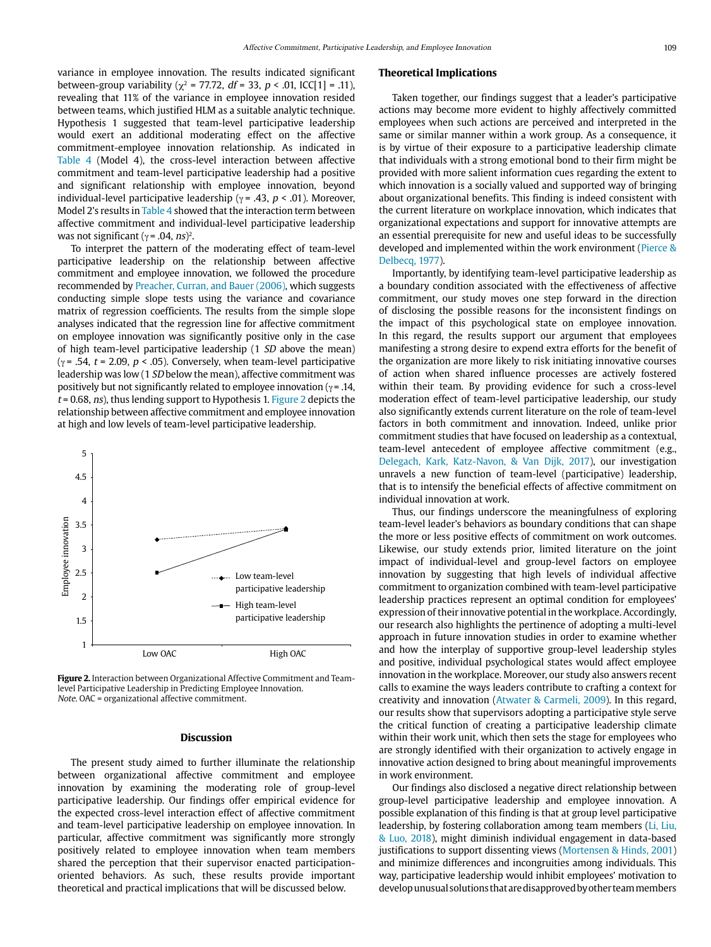variance in employee innovation. The results indicated significant between-group variability ( $\gamma^2$  = 77.72, df = 33, p < .01, ICC[1] = .11), revealing that 11% of the variance in employee innovation resided between teams, which justified HLM as a suitable analytic technique. Hypothesis 1 suggested that team-level participative leadership would exert an additional moderating effect on the affective commitment-employee innovation relationship. As indicated in Table 4 (Model 4), the cross-level interaction between affective commitment and team-level participative leadership had a positive and significant relationship with employee innovation, beyond individual-level participative leadership ( $\gamma$  = .43, p < .01). Moreover, Model 2's results in Table 4 showed that the interaction term between affective commitment and individual-level participative leadership was not significant ( $\gamma$  = .04, *ns*)<sup>2</sup>.

To interpret the pattern of the moderating effect of team-level participative leadership on the relationship between affective commitment and employee innovation, we followed the procedure recommended by Preacher, Curran, and Bauer (2006), which suggests conducting simple slope tests using the variance and covariance matrix of regression coefficients. The results from the simple slope analyses indicated that the regression line for affective commitment on employee innovation was significantly positive only in the case of high team-level participative leadership (1 SD above the mean) ( $\gamma$  = .54, t = 2.09, p < .05). Conversely, when team-level participative leadership was low (1 SD below the mean), affective commitment was positively but not significantly related to employee innovation ( $\gamma$  = .14,  $t = 0.68$ , ns), thus lending support to Hypothesis 1. Figure 2 depicts the relationship between affective commitment and employee innovation at high and low levels of team-level participative leadership.

# 5 4.5 4 Employee innovation Employee innovation 3.5 3 2.5 -- Low team-level participative leadership  $\overline{2}$ High team-level participative leadership 1.5 1 Low OAC High OAC

**Figure 2.** Interaction between Organizational Affective Commitment and Teamlevel Participative Leadership in Predicting Employee Innovation. Note. OAC = organizational affective commitment.

#### **Discussion**

The present study aimed to further illuminate the relationship between organizational affective commitment and employee innovation by examining the moderating role of group-level participative leadership. Our findings offer empirical evidence for the expected cross-level interaction effect of affective commitment and team-level participative leadership on employee innovation. In particular, affective commitment was significantly more strongly positively related to employee innovation when team members shared the perception that their supervisor enacted participationoriented behaviors. As such, these results provide important theoretical and practical implications that will be discussed below.

#### **Theoretical Implications**

Taken together, our findings suggest that a leader's participative actions may become more evident to highly affectively committed employees when such actions are perceived and interpreted in the same or similar manner within a work group. As a consequence, it is by virtue of their exposure to a participative leadership climate that individuals with a strong emotional bond to their firm might be provided with more salient information cues regarding the extent to which innovation is a socially valued and supported way of bringing about organizational benefits. This finding is indeed consistent with the current literature on workplace innovation, which indicates that organizational expectations and support for innovative attempts are an essential prerequisite for new and useful ideas to be successfully developed and implemented within the work environment (Pierce & Delbecq, 1977).

Importantly, by identifying team-level participative leadership as a boundary condition associated with the effectiveness of affective commitment, our study moves one step forward in the direction of disclosing the possible reasons for the inconsistent findings on the impact of this psychological state on employee innovation. In this regard, the results support our argument that employees manifesting a strong desire to expend extra efforts for the benefit of the organization are more likely to risk initiating innovative courses of action when shared influence processes are actively fostered within their team. By providing evidence for such a cross-level moderation effect of team-level participative leadership, our study also significantly extends current literature on the role of team-level factors in both commitment and innovation. Indeed, unlike prior commitment studies that have focused on leadership as a contextual, team-level antecedent of employee affective commitment (e.g., Delegach, Kark, Katz-Navon, & Van Dijk, 2017), our investigation unravels a new function of team-level (participative) leadership, that is to intensify the beneficial effects of affective commitment on individual innovation at work.

Thus, our findings underscore the meaningfulness of exploring team-level leader's behaviors as boundary conditions that can shape the more or less positive effects of commitment on work outcomes. Likewise, our study extends prior, limited literature on the joint impact of individual-level and group-level factors on employee innovation by suggesting that high levels of individual affective commitment to organization combined with team-level participative leadership practices represent an optimal condition for employees' expression of their innovative potential in the workplace. Accordingly, our research also highlights the pertinence of adopting a multi-level approach in future innovation studies in order to examine whether and how the interplay of supportive group-level leadership styles and positive, individual psychological states would affect employee innovation in the workplace. Moreover, our study also answers recent calls to examine the ways leaders contribute to crafting a context for creativity and innovation (Atwater & Carmeli, 2009). In this regard, our results show that supervisors adopting a participative style serve the critical function of creating a participative leadership climate within their work unit, which then sets the stage for employees who are strongly identified with their organization to actively engage in innovative action designed to bring about meaningful improvements in work environment.

Our findings also disclosed a negative direct relationship between group-level participative leadership and employee innovation. A possible explanation of this finding is that at group level participative leadership, by fostering collaboration among team members (Li, Liu, & Luo, 2018), might diminish individual engagement in data-based justifications to support dissenting views (Mortensen & Hinds, 2001) and minimize differences and incongruities among individuals. This way, participative leadership would inhibit employees' motivation to develop unusual solutions that are disapproved by other team members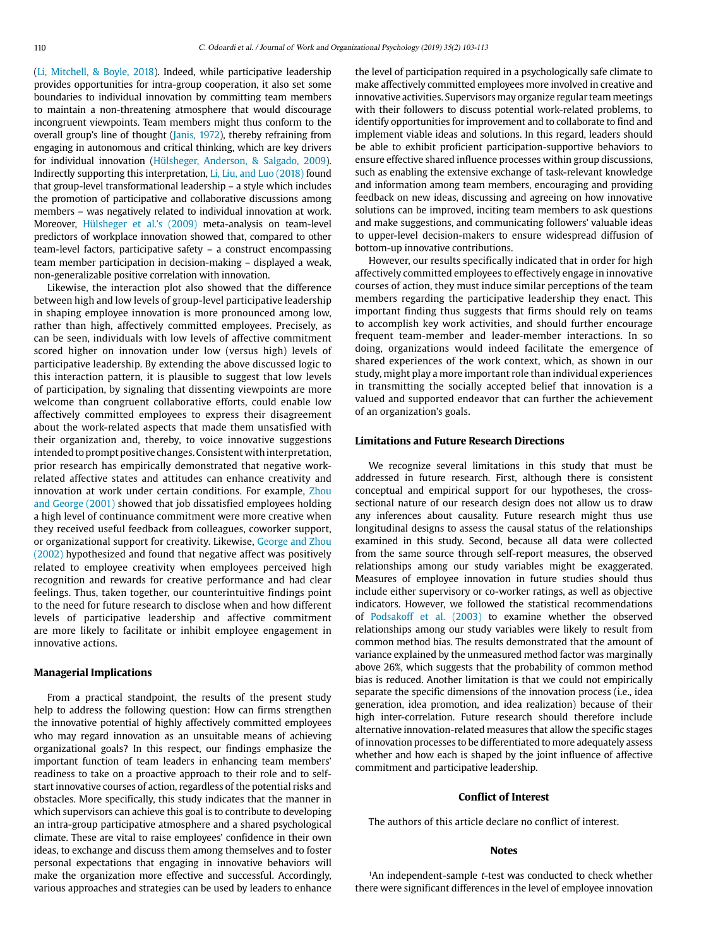(Li, Mitchell, & Boyle, 2018). Indeed, while participative leadership provides opportunities for intra-group cooperation, it also set some boundaries to individual innovation by committing team members to maintain a non-threatening atmosphere that would discourage incongruent viewpoints. Team members might thus conform to the overall group's line of thought (Janis, 1972), thereby refraining from engaging in autonomous and critical thinking, which are key drivers for individual innovation (Hülsheger, Anderson, & Salgado, 2009). Indirectly supporting this interpretation, Li, Liu, and Luo (2018) found that group-level transformational leadership – a style which includes the promotion of participative and collaborative discussions among members – was negatively related to individual innovation at work. Moreover, Hülsheger et al.'s (2009) meta-analysis on team-level predictors of workplace innovation showed that, compared to other team-level factors, participative safety – a construct encompassing team member participation in decision-making – displayed a weak, non-generalizable positive correlation with innovation.

Likewise, the interaction plot also showed that the difference between high and low levels of group-level participative leadership in shaping employee innovation is more pronounced among low, rather than high, affectively committed employees. Precisely, as can be seen, individuals with low levels of affective commitment scored higher on innovation under low (versus high) levels of participative leadership. By extending the above discussed logic to this interaction pattern, it is plausible to suggest that low levels of participation, by signaling that dissenting viewpoints are more welcome than congruent collaborative efforts, could enable low affectively committed employees to express their disagreement about the work-related aspects that made them unsatisfied with their organization and, thereby, to voice innovative suggestions intended to prompt positive changes. Consistent with interpretation, prior research has empirically demonstrated that negative workrelated affective states and attitudes can enhance creativity and innovation at work under certain conditions. For example, Zhou and George (2001) showed that job dissatisfied employees holding a high level of continuance commitment were more creative when they received useful feedback from colleagues, coworker support, or organizational support for creativity. Likewise, George and Zhou (2002) hypothesized and found that negative affect was positively related to employee creativity when employees perceived high recognition and rewards for creative performance and had clear feelings. Thus, taken together, our counterintuitive findings point to the need for future research to disclose when and how different levels of participative leadership and affective commitment are more likely to facilitate or inhibit employee engagement in innovative actions.

#### **Managerial Implications**

From a practical standpoint, the results of the present study help to address the following question: How can firms strengthen the innovative potential of highly affectively committed employees who may regard innovation as an unsuitable means of achieving organizational goals? In this respect, our findings emphasize the important function of team leaders in enhancing team members' readiness to take on a proactive approach to their role and to selfstart innovative courses of action, regardless of the potential risks and obstacles. More specifically, this study indicates that the manner in which supervisors can achieve this goal is to contribute to developing an intra-group participative atmosphere and a shared psychological climate. These are vital to raise employees' confidence in their own ideas, to exchange and discuss them among themselves and to foster personal expectations that engaging in innovative behaviors will make the organization more effective and successful. Accordingly, various approaches and strategies can be used by leaders to enhance the level of participation required in a psychologically safe climate to make affectively committed employees more involved in creative and innovative activities. Supervisors may organize regular team meetings with their followers to discuss potential work-related problems, to identify opportunities for improvement and to collaborate to find and implement viable ideas and solutions. In this regard, leaders should be able to exhibit proficient participation-supportive behaviors to ensure effective shared influence processes within group discussions, such as enabling the extensive exchange of task-relevant knowledge and information among team members, encouraging and providing feedback on new ideas, discussing and agreeing on how innovative solutions can be improved, inciting team members to ask questions and make suggestions, and communicating followers' valuable ideas to upper-level decision-makers to ensure widespread diffusion of bottom-up innovative contributions.

However, our results specifically indicated that in order for high affectively committed employees to effectively engage in innovative courses of action, they must induce similar perceptions of the team members regarding the participative leadership they enact. This important finding thus suggests that firms should rely on teams to accomplish key work activities, and should further encourage frequent team-member and leader-member interactions. In so doing, organizations would indeed facilitate the emergence of shared experiences of the work context, which, as shown in our study, might play a more important role than individual experiences in transmitting the socially accepted belief that innovation is a valued and supported endeavor that can further the achievement of an organization's goals.

#### **Limitations and Future Research Directions**

We recognize several limitations in this study that must be addressed in future research. First, although there is consistent conceptual and empirical support for our hypotheses, the crosssectional nature of our research design does not allow us to draw any inferences about causality. Future research might thus use longitudinal designs to assess the causal status of the relationships examined in this study. Second, because all data were collected from the same source through self-report measures, the observed relationships among our study variables might be exaggerated. Measures of employee innovation in future studies should thus include either supervisory or co-worker ratings, as well as objective indicators. However, we followed the statistical recommendations of Podsakoff et al. (2003) to examine whether the observed relationships among our study variables were likely to result from common method bias. The results demonstrated that the amount of variance explained by the unmeasured method factor was marginally above 26%, which suggests that the probability of common method bias is reduced. Another limitation is that we could not empirically separate the specific dimensions of the innovation process (i.e., idea generation, idea promotion, and idea realization) because of their high inter-correlation. Future research should therefore include alternative innovation-related measures that allow the specific stages of innovation processes to be differentiated to more adequately assess whether and how each is shaped by the joint influence of affective commitment and participative leadership.

#### **Conflict of Interest**

The authors of this article declare no conflict of interest.

### **Notes**

<sup>1</sup>An independent-sample t-test was conducted to check whether there were significant differences in the level of employee innovation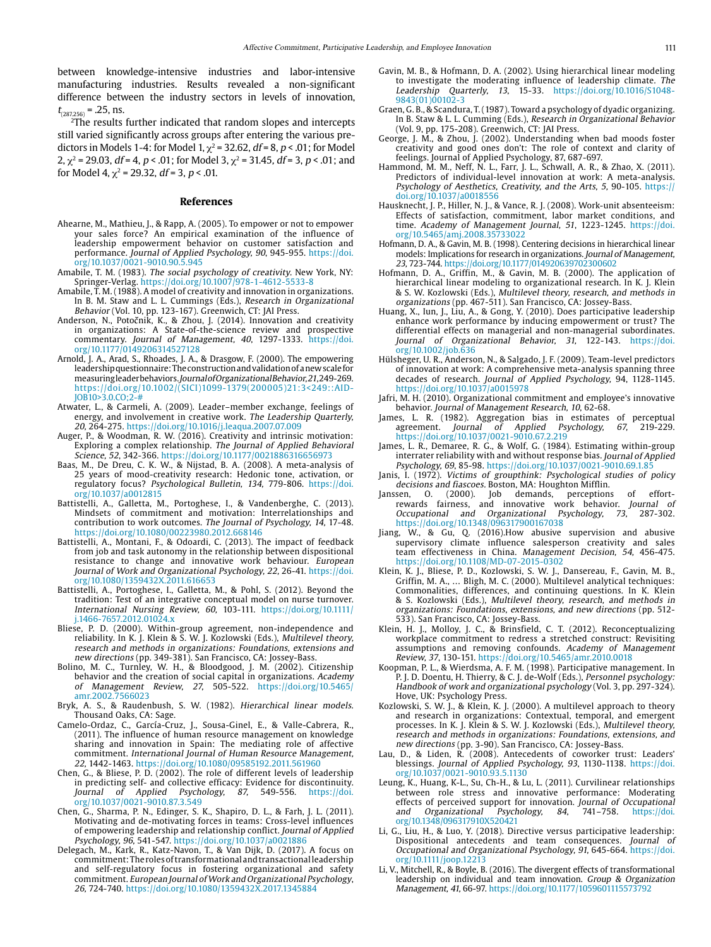between knowledge-intensive industries and labor-intensive manufacturing industries. Results revealed a non-significant difference between the industry sectors in levels of innovation,  $t_{(287.256)} = .25$ , ns.

2The results further indicated that random slopes and intercepts still varied significantly across groups after entering the various predictors in Models 1-4: for Model 1,  $\chi^2$  = 32.62, *df* = 8, *p* < .01; for Model 2,  $\chi^2$  = 29.03, df = 4, p < .01; for Model 3,  $\chi^2$  = 31.45, df = 3, p < .01; and for Model 4,  $\chi^2$  = 29.32, df = 3, p < .01.

#### **References**

- Ahearne, M., Mathieu, J., & Rapp, A. (2005). To empower or not to empower your sales force? An empirical examination of the influence of leadership empowerment behavior on customer satisfaction and performance. Journal of Applied Psychology, 90, 945-955. [https://doi.](https://doi.org/10.1037/0021-9010.90.5.945) [org/10.1037/0021-9010.90.5.945](https://doi.org/10.1037/0021-9010.90.5.945)
- Amabile, T. M. (1983). The social psychology of creativity. New York, NY: Springer-Verlag. <https://doi.org/10.1007/978-1-4612-5533-8>
- Amabile, T. M. (1988). A model of creativity and innovation in organizations. In B. M. Staw and L. L. Cummings (Eds.), Research in Organizational Behavior (Vol. 10, pp. 123-167). Greenwich, CT: JAI Press.
- Anderson, N., Potočnik, K., & Zhou, J. (2014). Innovation and creativity in organizations: A State-of-the-science review and prospective commentary. Journal of Management, 40, 1297-1333. [https://doi.](https://doi.org/10.1177/0149206314527128) [org/10.1177/0149206314527128](https://doi.org/10.1177/0149206314527128)
- Arnold, J. A., Arad, S., Rhoades, J. A., & Drasgow, F. (2000). The empowering leadership questionnaire: The construction and validation of a new scale for measuring leader behaviors. Journal of Organizational Behavior, 21, 249-269. [https://doi.org/10.1002/\(SICI\)1099-1379\(200005\)21:3<249::AID-](https://doi.org/10.1002/(SICI)1099-1379(200005)21:3%3c249::AID-JOB10%3e3.0.CO;2-)[JOB10>3.0.CO;2-#](https://doi.org/10.1002/(SICI)1099-1379(200005)21:3%3c249::AID-JOB10%3e3.0.CO;2-)
- Atwater, L., & Carmeli, A. (2009). Leader–member exchange, feelings of energy, and involvement in creative work. The Leadership Quarterly, 20, 264-275.<https://doi.org/10.1016/j.leaqua.2007.07.009>
- Auger, P., & Woodman, R. W. (2016). Creativity and intrinsic motivation: Exploring a complex relationship. The Journal of Applied Behavioral Science, 52, 342-366. <https://doi.org/10.1177/0021886316656973>
- Baas, M., De Dreu, C. K. W., & Nijstad, B. A. (2008). A meta-analysis of 25 years of mood-creativity research: Hedonic tone, activation, or regulatory focus? Psychological Bulletin, 134, 779-806. [https://doi.](https://doi.org/10.1037/a0012815) [org/10.1037/a0012815](https://doi.org/10.1037/a0012815)
- Battistelli, A., Galletta, M., Portoghese, I., & Vandenberghe, C. (2013). Mindsets of commitment and motivation: Interrelationships and contribution to work outcomes. The Journal of Psychology, 14, 17-48. <https://doi.org/10.1080/00223980.2012.668146>
- Battistelli, A., Montani, F., & Odoardi, C. (2013). The impact of feedback from job and task autonomy in the relationship between dispositional resistance to change and innovative work behaviour. European Journal of Work and Organizational Psychology, 22, 26-41. [https://doi.](https://doi.org/10.1080/1359432X.2011.616653) [org/10.1080/1359432X.2011.616653](https://doi.org/10.1080/1359432X.2011.616653)
- Battistelli, A., Portoghese, I., Galletta, M., & Pohl, S. (2012). Beyond the tradition: Test of an integrative conceptual model on nurse turnover. International Nursing Review, 60, 103-111. [https://doi.org/10.1111/](https://doi.org/10.1111/j.1466-7657.2012.01024.x) [j.1466-7657.2012.01024.x](https://doi.org/10.1111/j.1466-7657.2012.01024.x)
- Bliese, P. D. (2000). Within-group agreement, non-independence and reliability. In K. J. Klein & S. W. J. Kozlowski (Eds.), Multilevel theory, research and methods in organizations: Foundations, extensions and new directions (pp. 349-381). San Francisco, CA: Jossey-Bass.
- Bolino, M. C., Turnley, W. H., & Bloodgood, J. M. (2002). Citizenship behavior and the creation of social capital in organizations. *Academy* of Management Review, 27, 505-522. [https://doi.org/10.5465/](https://doi.org/10.5465/amr.2002.7566023) [amr.2002.7566023](https://doi.org/10.5465/amr.2002.7566023)
- Bryk, A. S., & Raudenbush, S. W. (1982). Hierarchical linear models. Thousand Oaks, CA: Sage.
- Camelo-Ordaz, C., García-Cruz, J., Sousa-Ginel, E., & Valle-Cabrera, R., (2011). The influence of human resource management on knowledge sharing and innovation in Spain: The mediating role of affective commitment. International Journal of Human Resource Management, 22, 1442-1463. <https://doi.org/10.1080/09585192.2011.561960>
- Chen, G., & Bliese, P. D. (2002). The role of different levels of leadership in predicting self- and collective efficacy: Evidence for discontinuity. Journal of Applied Psychology, 87, 549-556. [https://doi.](https://doi.org/10.1037/0021-9010.87.3.549) [org/10.1037/0021-9010.87.3.549](https://doi.org/10.1037/0021-9010.87.3.549)
- Chen, G., Sharma, P. N., Edinger, S. K., Shapiro, D. L., & Farh, J. L. (2011). Motivating and de-motivating forces in teams: Cross-level influences of empowering leadership and relationship conflict. Journal of Applied Psychology, 96, 541-547. <https://doi.org/10.1037/a0021886>
- Delegach, M., Kark, R., Katz-Navon, T., & Van Dijk, D. (2017). A focus on commitment: The roles of transformational and transactional leadership and self-regulatory focus in fostering organizational and safety commitment. European Journal of Work and Organizational Psychology, 26, 724-740.<https://doi.org/10.1080/1359432X.2017.1345884>
- Gavin, M. B., & Hofmann, D. A. (2002). Using hierarchical linear modeling to investigate the moderating influence of leadership climate. The Leadership Quarterly, 13, 15-33. [https://doi.org/10.1016/S1048-](https://doi.org/10.1016/S1048-9843(01)00102-3) [9843\(01\)00102-3](https://doi.org/10.1016/S1048-9843(01)00102-3)
- Graen, G. B., & Scandura, T. (1987). Toward a psychology of dyadic organizing. In B. Staw & L. L. Cumming (Eds.), Research in Organizational Behavior (Vol. 9, pp. 175-208). Greenwich, CT: JAI Press.
- George, J. M., & Zhou, J. (2002). Understanding when bad moods foster creativity and good ones don't: The role of context and clarity of feelings. Journal of Applied Psychology, 87, 687-697.
- Hammond, M. M., Neff, N. L., Farr, J. L., Schwall, A. R., & Zhao, X. (2011). Predictors of individual-level innovation at work: A meta-analysis. Psychology of Aesthetics, Creativity, and the Arts, 5, 90-105. [https://](https://doi.org/10.1037/a0018556) [doi.org/10.1037/a0018556](https://doi.org/10.1037/a0018556)
- Hausknecht, J. P., Hiller, N. J., & Vance, R. J. (2008). Work-unit absenteeism: Effects of satisfaction, commitment, labor market conditions, and time. Academy of Management Journal, 51, 1223-1245. [https://doi.](https://doi.org/10.5465/amj.2008.35733022) [org/10.5465/amj.2008.35733022](https://doi.org/10.5465/amj.2008.35733022)
- Hofmann, D. A., & Gavin, M. B. (1998). Centering decisions in hierarchical linear models: Implications for research in organizations. Journal of Management, 23, 723-744.<https://doi.org/10.1177/014920639702300602>
- Hofmann, D. A., Griffin, M., & Gavin, M. B. (2000). The application of hierarchical linear modeling to organizational research. In K. J. Klein & S. W. Kozlowski (Eds.), Multilevel theory, research, and methods in organizations (pp. 467-511). San Francisco, CA: Jossey-Bass.
- Huang, X., Iun, J., Liu, A., & Gong, Y. (2010). Does participative leadership enhance work performance by inducing empowerment or trust? The differential effects on managerial and non-managerial subordinates. Journal of Organizational Behavior, 31, 122-143. [https://doi.](https://doi.org/10.1002/job.636) [org/10.1002/job.636](https://doi.org/10.1002/job.636)
- Hülsheger, U. R., Anderson, N., & Salgado, J. F. (2009). Team-level predictors of innovation at work: A comprehensive meta-analysis spanning three decades of research. Journal of Applied Psychology, 94, 1128-1145. <https://doi.org/10.1037/a0015978>
- Jafri, M. H. (2010). Organizational commitment and employee's innovative behavior. Journal of Management Research, 10, 62-68.
- James, L. R. (1982). Aggregation bias in estimates of perceptual agreement. Journal of Applied Psychology, 67, 219-229. <https://doi.org/10.1037/0021-9010.67.2.219>
- James, L. R., Demaree, R. G., & Wolf, G. (1984). Estimating within-group interrater reliability with and without response bias. Journal of Applied Psychology, 69, 85-98. <https://doi.org/10.1037/0021-9010.69.1.85>
- Janis, I. (1972). Victims of groupthink: Psychological studies of policy decisions and fiascoes. Boston, MA: Houghton Mifflin.
- Janssen, O. (2000). Job demands, perceptions of effortrewards fairness, and innovative work behavior. Journal of Occupational and Organizational Psychology, 73, 287-302. <https://doi.org/10.1348/096317900167038>
- Jiang, W., & Gu, Q. (2016).How abusive supervision and abusive supervisory climate influence salesperson creativity and sales team effectiveness in China. Management Decision, 54, 456-475. <https://doi.org/10.1108/MD-07-2015-0302>
- Klein, K. J., Bliese, P. D., Kozlowski, S. W. J., Dansereau, F., Gavin, M. B., Griffin, M. A., … Bligh, M. C. (2000). Multilevel analytical techniques: Commonalities, differences, and continuing questions. In K. Klein & S. Kozlowski (Eds.), Multilevel theory, research, and methods in organizations: Foundations, extensions, and new directions (pp. 512- 533). San Francisco, CA: Jossey-Bass.
- Klein, H. J., Molloy, J. C., & Brinsfield, C. T. (2012). Reconceptualizing workplace commitment to redress a stretched construct: Revisiting assumptions and removing confounds. Academy of Management Review, 37, 130-151. <https://doi.org/10.5465/amr.2010.0018>
- Koopman, P. L., & Wierdsma, A. F. M. (1998). Participative management. In P. J. D. Doentu, H. Thierry, & C. J. de-Wolf (Eds.), Personnel psychology: Handbook of work and organizational psychology (Vol. 3, pp. 297-324). Hove, UK: Psychology Press.
- Kozlowski, S. W. J., & Klein, K. J. (2000). A multilevel approach to theory and research in organizations: Contextual, temporal, and emergent processes. In K. J. Klein & S. W. J. Kozlowski (Eds.), Multilevel theory, research and methods in organizations: Foundations, extensions, and new directions (pp. 3-90). San Francisco, CA: Jossey-Bass.
- Lau, D., & Liden, R. (2008). Antecedents of coworker trust: Leaders' blessings. Journal of Applied Psychology, 93, 1130-1138. [https://doi.](https://doi.org/10.1037/0021-9010.93.5.1130) [org/10.1037/0021-9010.93.5.1130](https://doi.org/10.1037/0021-9010.93.5.1130)
- Leung, K., Huang, K-L., Su, Ch-H., & Lu, L. (2011). Curvilinear relationships between role stress and innovative performance: Moderating effects of perceived support for innovation. Journal of Occupational and Organizational Psychology, 84, 741–758. [https://doi.](https://doi.org/10.1348/096317910X520421
) [org/10.1348/096317910X520421](https://doi.org/10.1348/096317910X520421
)
- Li, G., Liu, H., & Luo, Y. (2018). Directive versus participative leadership: Dispositional antecedents and team consequences. Journal of Occupational and Organizational Psychology, 91, 645-664. [https://doi.](https://doi.org/10.1111/joop.12213) [org/10.1111/joop.12213](https://doi.org/10.1111/joop.12213)
- Li, V., Mitchell, R., & Boyle, B. (2016). The divergent effects of transformational leadership on individual and team innovation. Group & Organization Management, 41, 66-97. <https://doi.org/10.1177/1059601115573792>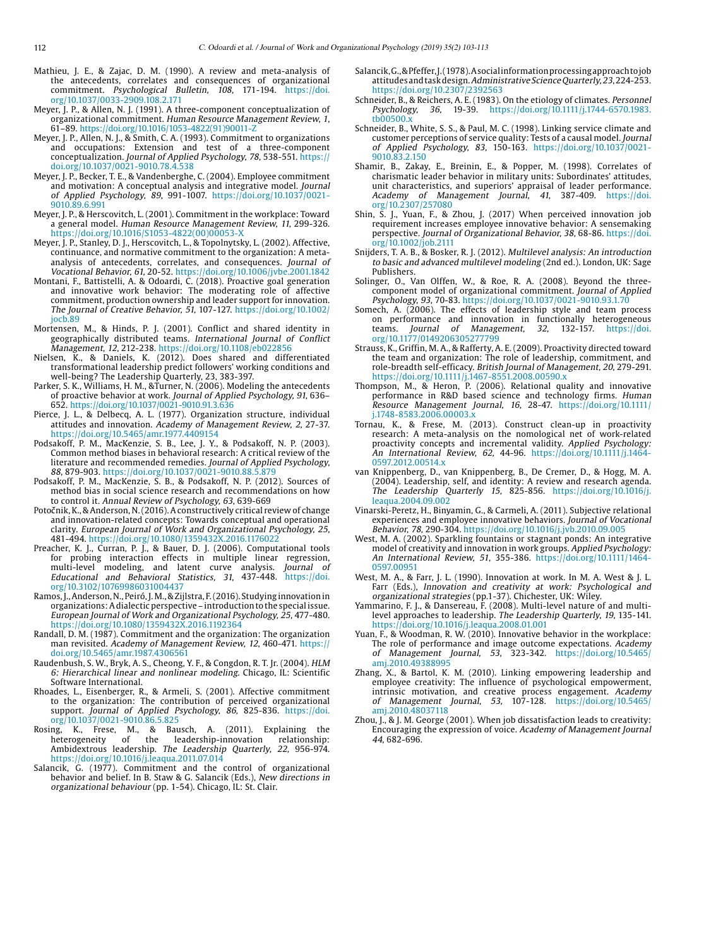- Mathieu, J. E., & Zajac, D. M. (1990). A review and meta-analysis of the antecedents, correlates and consequences of organizational commitment. Psychological Bulletin, 108, 171-194. [https://doi.](https://doi.org/10.1037/0033-2909.108.2.171) [org/10.1037/0033-2909.108.2.171](https://doi.org/10.1037/0033-2909.108.2.171)
- Meyer, J. P., & Allen, N. J. (1991). A three-component conceptualization of organizational commitment. Human Resource Management Review, 1, 61–89. [https://doi.org/10.1016/1053-4822\(91\)90011-Z](https://doi.org/10.1016/1053-4822(91)90011-Z
)
- Meyer, J. P., Allen, N. J., & Smith, C. A. (1993). Commitment to organizations and occupations: Extension and test of a three-component conceptualization. Journal of Applied Psychology, 78, 538-551. [https://](https://doi.org/10.1037/0021-9010.78.4.538) [doi.org/10.1037/0021-9010.78.4.538](https://doi.org/10.1037/0021-9010.78.4.538)
- Meyer, J. P., Becker, T. E., & Vandenberghe, C. (2004). Employee commitment and motivation: A conceptual analysis and integrative model. Journal of Applied Psychology, 89, 991-1007. [https://doi.org/10.1037/0021-](https://doi.org/10.1037/0021-9010.89.6.991) [9010.89.6.991](https://doi.org/10.1037/0021-9010.89.6.991)
- Meyer, J. P., & Herscovitch, L. (2001). Commitment in the workplace: Toward a general model. Human Resource Management Review, 11, 299-326. [https://doi.org/10.1016/S1053-4822\(00\)00053-X](https://doi.org/10.1016/S1053-4822(00)00053-X)
- Meyer, J. P., Stanley, D. J., Herscovitch, L., & Topolnytsky, L. (2002). Affective, continuance, and normative commitment to the organization: A metaanalysis of antecedents, correlates, and consequences. Journal of Vocational Behavior, 61, 20-52. <https://doi.org/10.1006/jvbe.2001.1842>
- Montani, F., Battistelli, A. & Odoardi, C. (2018). Proactive goal generation and innovative work behavior: The moderating role of affective commitment, production ownership and leader support for innovation. The Journal of Creative Behavior, 51, 107-127. [https://doi.org/10.1002/](https://doi.org/10.1002/jocb.89) joch 89
- Mortensen, M., & Hinds, P. J. (2001). Conflict and shared identity in geographically distributed teams. International Journal of Conflict
- Management, 12, 212-238. <https://doi.org/10.1108/eb022856> Nielsen, K., & Daniels, K. (2012). Does shared and differentiated transformational leadership predict followers' working conditions and well-being? The Leadership Quarterly, 23, 383-397.
- Parker, S. K., Williams, H. M., &Turner, N. (2006). Modeling the antecedents of proactive behavior at work. Journal of Applied Psychology, 91, 636– 652. <https://doi.org/10.1037/0021-9010.91.3.636>
- Pierce, J. L., & Delbecq, A. L. (1977). Organization structure, individual attitudes and innovation. Academy of Management Review, 2, 27-37. <https://doi.org/10.5465/amr.1977.4409154>
- Podsakoff, P. M., MacKenzie, S. B., Lee, J. Y., & Podsakoff, N. P. (2003). Common method biases in behavioral research: A critical review of the literature and recommended remedies. Journal of Applied Psychology, 88, 879-903. <https://doi.org/10.1037/0021-9010.88.5.879>
- [Podsakoff, P. M](https://www.ncbi.nlm.nih.gov/pubmed/?term=Podsakoff PM%5BAuthor%5D&cauthor=true&cauthor_uid=21838546)., [MacKenzie, S. B.](https://www.ncbi.nlm.nih.gov/pubmed/?term=MacKenzie SB%5BAuthor%5D&cauthor=true&cauthor_uid=21838546), & [Podsakoff, N. P](https://www.ncbi.nlm.nih.gov/pubmed/?term=Podsakoff NP%5BAuthor%5D&cauthor=true&cauthor_uid=21838546). (2012). Sources of method bias in social science research and recommendations on how to control it. Annual Review of Psychology, 63, 639-669
- Potočnik, K., & Anderson, N. (2016). A constructively critical review of change and innovation-related concepts: Towards conceptual and operational clarity. European Journal of Work and Organizational Psychology, 25, 481-494.<https://doi.org/10.1080/1359432X.2016.1176022>
- Preacher, K. J., Curran, P. J., & Bauer, D. J. (2006). Computational tools for probing interaction effects in multiple linear regression, multi-level modeling, and latent curve analysis. Journal of Educational and Behavioral Statistics, 31, 437-448. [https://doi.](https://doi.org/10.3102/10769986031004437) [org/10.3102/10769986031004437](https://doi.org/10.3102/10769986031004437)
- Ramos, J., Anderson, N., Peiró, J. M., & Zijlstra, F. (2016). Studying innovation in organizations: A dialectic perspective – introduction to the special issue. European Journal of Work and Organizational Psychology, 25, 477-480. <https://doi.org/10.1080/1359432X.2016.1192364>
- Randall, D. M. (1987). Commitment and the organization: The organization man revisited. Academy of Management Review, 12, 460-471. [https://](https://doi.org/10.5465/amr.1987.4306561) [doi.org/10.5465/amr.1987.4306561](https://doi.org/10.5465/amr.1987.4306561)
- Raudenbush, S. W., Bryk, A. S., Cheong, Y. F., & Congdon, R. T. Jr. (2004). HLM 6: Hierarchical linear and nonlinear modeling. Chicago, IL: Scientific Software International.
- Rhoades, L., Eisenberger, R., & Armeli, S. (2001). Affective commitment to the organization: The contribution of perceived organizational support. Journal of Applied Psychology, 86, 825-836. [https://doi.](https://doi.org/10.1037/0021-9010.86.5.825) [org/10.1037/0021-9010.86.5.825](https://doi.org/10.1037/0021-9010.86.5.825)
- Rosing, K., Frese, M., & Bausch, A. (2011). Explaining the heterogeneity of the leadership-innovation relationship: heterogeneity of the leadership-innovation relationship:<br>Ambidextrous-leadership. *The Leadership* Qu*arterly, 22,* 956-974. <https://doi.org/10.1016/j.leaqua.2011.07.014>
- Salancik, G. (1977). Commitment and the control of organizational behavior and belief. In B. Staw & G. Salancik (Eds.), New directions in organizational behaviour (pp. 1-54). Chicago, IL: St. Clair.
- Salancik, G., & Pfeffer, J. (1978). A social information processing approach to job attitudes and task design. Administrative Science Quarterly, 23, 224-253. <https://doi.org/10.2307/2392563>
- Schneider, B., & Reichers, A. E. (1983). On the etiology of climates. Personnel Psychology, 36, 19-39. [https://doi.org/10.1111/j.1744-6570.1983.](https://doi.org/10.1111/j.1744-6570.1983.tb00500.x)  $th00500.$
- Schneider, B., White, S. S., & Paul, M. C. (1998). Linking service climate and customer perceptions of service quality: Tests of a causal model. Journal of Applied Psychology, 83, 150-163. [https://doi.org/10.1037/0021-](https://doi.org/10.1037/0021-9010.83.2.150) [9010.83.2.150](https://doi.org/10.1037/0021-9010.83.2.150)
- Shamir, B., Zakay, E., Breinin, E., & Popper, M. (1998). Correlates of charismatic leader behavior in military units: Subordinates' attitudes, unit characteristics, and superiors' appraisal of leader performance. Academy of Management Journal, 41, 387-409. [https://doi.](https://doi.org/10.2307/257080) [org/10.2307/257080](https://doi.org/10.2307/257080)
- Shin, S. J., Yuan, F., & Zhou, J. (2017) When perceived innovation job requirement increases employee innovative behavior: A sensemaking perspective. Journal of Organizational Behavior, 38, 68-86. [https://doi.](https://doi.org/10.1002/job.2111) [org/10.1002/job.2111](https://doi.org/10.1002/job.2111)
- Snijders, T. A. B., & Bosker, R. J. (2012). Multilevel analysis: An introduction to basic and advanced multilevel modeling (2nd ed.). London, UK: Sage Publishers.
- Solinger, O., Van Olffen, W., & Roe, R. A. (2008). Beyond the threecomponent model of organizational commitment. Journal of Applied Psychology, 93, 70-83. <https://doi.org/10.1037/0021-9010.93.1.70>
- Somech, A. (2006). The effects of leadership style and team process on performance and innovation in functionally heterogeneous<br>teams. *Journal of Management, 32,* 132-157. [https://doi.](https://doi.org/10.1177/0149206305277799)<br>[org/10.1177/0149206305277799](https://doi.org/10.1177/0149206305277799)
- Strauss, K., Griffin, M. A., & Rafferty, A. E. (2009). Proactivity directed toward the team and organization: The role of leadership, commitment, and role-breadth self-efficacy. British Journal of Management, 20, 279-291. <https://doi.org/10.1111/j.1467-8551.2008.00590.x>
- Thompson, M., & Heron, P. (2006). Relational quality and innovative performance in R&D based science and technology firms. Human Resource Management Journal, 16, 28-47. [https://doi.org/10.1111/](https://doi.org/10.1111/j.1748-8583.2006.00003.x) [j.1748-8583.2006.00003.x](https://doi.org/10.1111/j.1748-8583.2006.00003.x)
- Tornau, K., & Frese, M. (2013). Construct clean-up in proactivity research: A meta-analysis on the nomological net of work-related proactivity concepts and incremental validity. Applied Psychology: An International Review, 62, 44-96. [https://doi.org/10.1111/j.1464-](https://doi.org/10.1111/j.1464-0597.2012.00514.x) [0597.2012.00514.x](https://doi.org/10.1111/j.1464-0597.2012.00514.x)
- van Knippenberg, D., van Knippenberg, B., De Cremer, D., & Hogg, M. A. (2004). Leadership, self, and identity: A review and research agenda. The Leadership Quarterly 15, 825-856. [https://doi.org/10.1016/j.](https://doi.org/10.1016/j.leaqua.2004.09.002) [leaqua.2004.09.002](https://doi.org/10.1016/j.leaqua.2004.09.002)
- Vinarski-Peretz, H., Binyamin, G., & Carmeli, A. (2011). Subjective relational experiences and employee innovative behaviors. Journal of Vocational Behavior, 78, 290-304. <https://doi.org/10.1016/j.jvb.2010.09.005>
- West, M. A. (2002). Sparkling fountains or stagnant ponds: An integrative model of creativity and innovation in work groups. Applied Psychology: An International Review, 51, 355-386. [https://doi.org/10.1111/1464-](https://doi.org/10.1111/1464-0597.00951) [0597.00951](https://doi.org/10.1111/1464-0597.00951)
- West, M. A., & Farr, J. L. (1990). Innovation at work. In M. A. West & J. L. Farr (Eds.), Innovation and creativity at work: Psychological and organizational strategies (pp.1-37). Chichester, UK: Wiley.
- Yammarino, F. J., & Dansereau, F. (2008). Multi-level nature of and multilevel approaches to leadership. The Leadership Quarterly, 19, 135-141. <https://doi.org/10.1016/j.leaqua.2008.01.001>
- Yuan, F., & Woodman, R. W. (2010). Innovative behavior in the workplace: The role of performance and image outcome expectations. Academy of Management Journal, 53, 323-342. [https://doi.org/10.5465/](https://doi.org/10.5465/amj.2010.49388995) [amj.2010.49388995](https://doi.org/10.5465/amj.2010.49388995)
- Zhang, X., & Bartol, K. M. (2010). Linking empowering leadership and employee creativity: The influence of psychological empowerment, intrinsic motivation, and creative process engagement. Academy of Management Journal, 53, 107-128. [https://doi.org/10.5465/](https://doi.org/10.5465/amj.2010.48037118) [amj.2010.48037118](https://doi.org/10.5465/amj.2010.48037118)
- Zhou, J., & J. M. George (2001). When job dissatisfaction leads to creativity: Encouraging the expression of voice. Academy of Management Journal 44, 682-696.